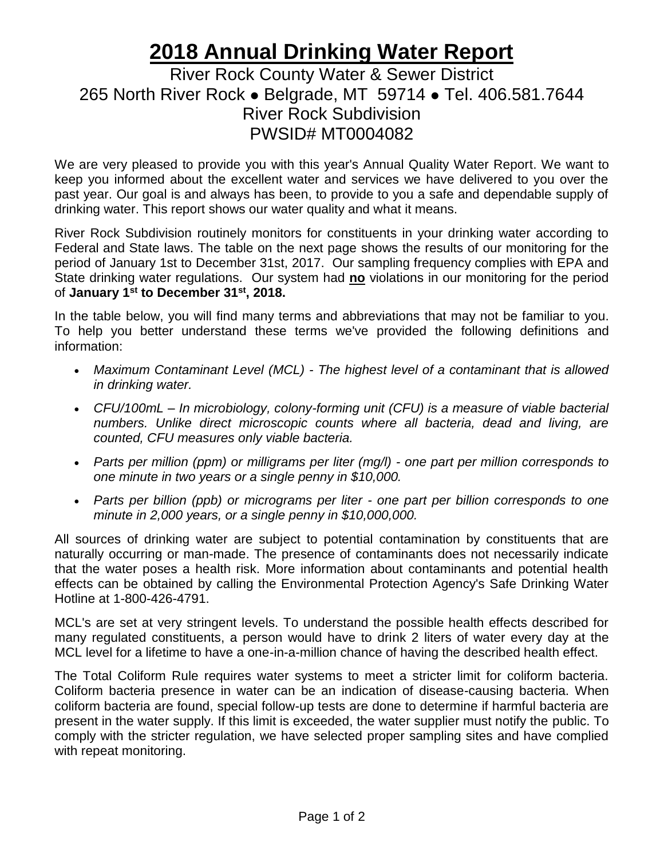## **2018 Annual Drinking Water Report**

## River Rock County Water & Sewer District 265 North River Rock ⚫ Belgrade, MT 59714 ⚫ Tel. 406.581.7644 River Rock Subdivision PWSID# MT0004082

We are very pleased to provide you with this year's Annual Quality Water Report. We want to keep you informed about the excellent water and services we have delivered to you over the past year. Our goal is and always has been, to provide to you a safe and dependable supply of drinking water. This report shows our water quality and what it means.

River Rock Subdivision routinely monitors for constituents in your drinking water according to Federal and State laws. The table on the next page shows the results of our monitoring for the period of January 1st to December 31st, 2017. Our sampling frequency complies with EPA and State drinking water regulations. Our system had **no** violations in our monitoring for the period of **January 1st to December 31st, 2018.**

In the table below, you will find many terms and abbreviations that may not be familiar to you. To help you better understand these terms we've provided the following definitions and information:

- *Maximum Contaminant Level (MCL) - The highest level of a contaminant that is allowed in drinking water.*
- *CFU/100mL – In microbiology, colony-forming unit (CFU) is a measure of viable bacterial numbers. Unlike direct microscopic counts where all bacteria, dead and living, are counted, CFU measures only viable bacteria.*
- *Parts per million (ppm) or milligrams per liter (mg/l) - one part per million corresponds to one minute in two years or a single penny in \$10,000.*
- *Parts per billion (ppb) or micrograms per liter - one part per billion corresponds to one minute in 2,000 years, or a single penny in \$10,000,000.*

All sources of drinking water are subject to potential contamination by constituents that are naturally occurring or man-made. The presence of contaminants does not necessarily indicate that the water poses a health risk. More information about contaminants and potential health effects can be obtained by calling the Environmental Protection Agency's Safe Drinking Water Hotline at 1-800-426-4791.

MCL's are set at very stringent levels. To understand the possible health effects described for many regulated constituents, a person would have to drink 2 liters of water every day at the MCL level for a lifetime to have a one-in-a-million chance of having the described health effect.

The Total Coliform Rule requires water systems to meet a stricter limit for coliform bacteria. Coliform bacteria presence in water can be an indication of disease-causing bacteria. When coliform bacteria are found, special follow-up tests are done to determine if harmful bacteria are present in the water supply. If this limit is exceeded, the water supplier must notify the public. To comply with the stricter regulation, we have selected proper sampling sites and have complied with repeat monitoring.